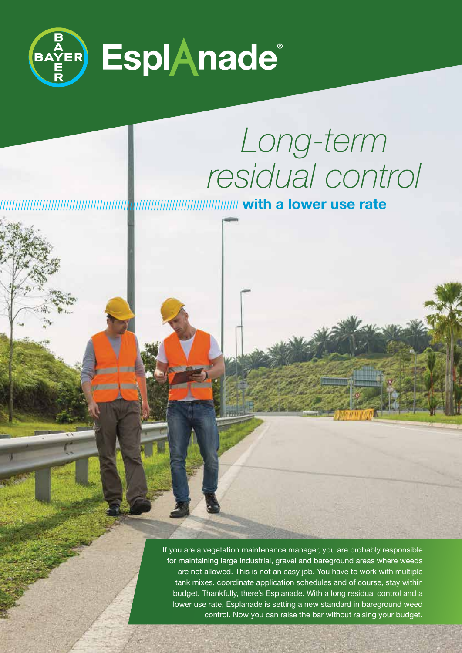

# *Long-term residual control*

**with a lower use rate**

If you are a vegetation maintenance manager, you are probably responsible for maintaining large industrial, gravel and bareground areas where weeds are not allowed. This is not an easy job. You have to work with multiple tank mixes, coordinate application schedules and of course, stay within budget. Thankfully, there's Esplanade. With a long residual control and a lower use rate, Esplanade is setting a new standard in bareground weed control. Now you can raise the bar without raising your budget.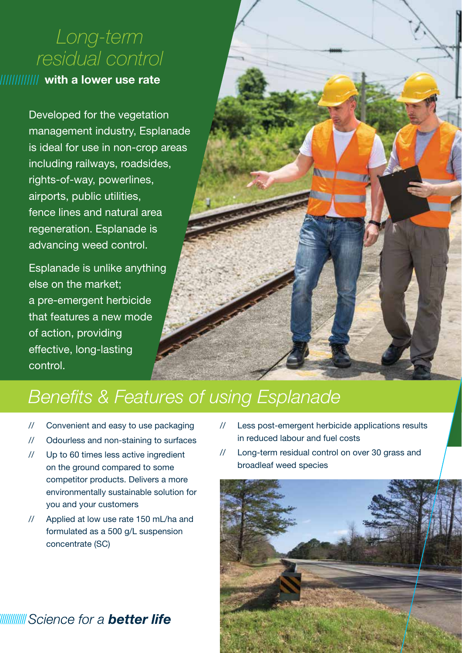# *Long-term residual control*

### **with a lower use rate**

Developed for the vegetation management industry, Esplanade is ideal for use in non-crop areas including railways, roadsides, rights-of-way, powerlines, airports, public utilities, fence lines and natural area regeneration. Esplanade is advancing weed control.

Esplanade is unlike anything else on the market; a pre-emergent herbicide that features a new mode of action, providing effective, long-lasting control.



# *Benefits & Features of using Esplanade*

- // Convenient and easy to use packaging
- // Odourless and non-staining to surfaces
- // Up to 60 times less active ingredient on the ground compared to some competitor products. Delivers a more environmentally sustainable solution for you and your customers
- // Applied at low use rate 150 mL/ha and formulated as a 500 g/L suspension concentrate (SC)
- // Less post-emergent herbicide applications results in reduced labour and fuel costs
- // Long-term residual control on over 30 grass and broadleaf weed species



## WWWW Science for a **better life**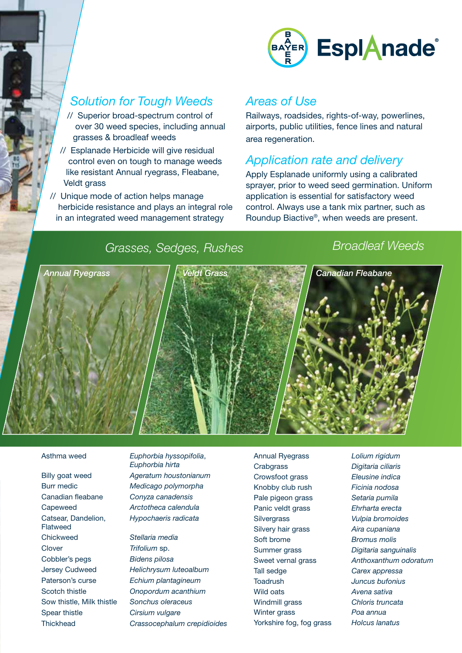

## *Solution for Tough Weeds*

- // Superior broad-spectrum control of over 30 weed species, including annual grasses & broadleaf weeds
- // Esplanade Herbicide will give residual control even on tough to manage weeds like resistant Annual ryegrass, Fleabane, Veldt grass
- // Unique mode of action helps manage herbicide resistance and plays an integral role in an integrated weed management strategy

#### *Areas of Use*

Railways, roadsides, rights-of-way, powerlines, airports, public utilities, fence lines and natural area regeneration.

### *Application rate and delivery*

Apply Esplanade uniformly using a calibrated sprayer, prior to weed seed germination. Uniform application is essential for satisfactory weed control. Always use a tank mix partner, such as Roundup Biactive®, when weeds are present.

# *Grasses, Sedges, Rushes Broadleaf Weeds*



Burr medic *Medicago polymorpha* Canadian fleabane *Conyza canadensis* Capeweed *Arctotheca calendula* Catsear, Dandelion, *Hypochaeris radicata* Flatweed Chickweed *Stellaria media* Clover *Trifolium* sp. Cobbler's pegs *Bidens pilosa* Paterson's curse *Echium plantagineum* Scotch thistle *Onopordum acanthium* Sow thistle, Milk thistle *Sonchus oleraceus* Spear thistle *Cirsium vulgare*

Asthma weed *Euphorbia hyssopifolia*, *Euphorbia hirta* Billy goat weed *Ageratum houstonianum*

Jersey Cudweed *Helichrysum luteoalbum* Thickhead *Crassocephalum crepidioides*

Crabgrass *Digitaria ciliaris* Crowsfoot grass *Eleusine indica* Knobby club rush *Ficinia nodosa* Pale pigeon grass *Setaria pumila* Panic veldt grass *Ehrharta erecta* Silvergrass *Vulpia bromoides* Silvery hair grass *Aira cupaniana* Soft brome *Bromus molis* Tall sedge *Carex appressa* Toadrush *Juncus bufonius* Wild oats *Avena sativa* Windmill grass *Chloris truncata* Winter grass *Poa annua* Yorkshire fog, fog grass *Holcus lanatus*

Annual Ryegrass *Lolium rigidum* Summer grass *Digitaria sanguinalis* Sweet vernal grass *Anthoxanthum odoratum*